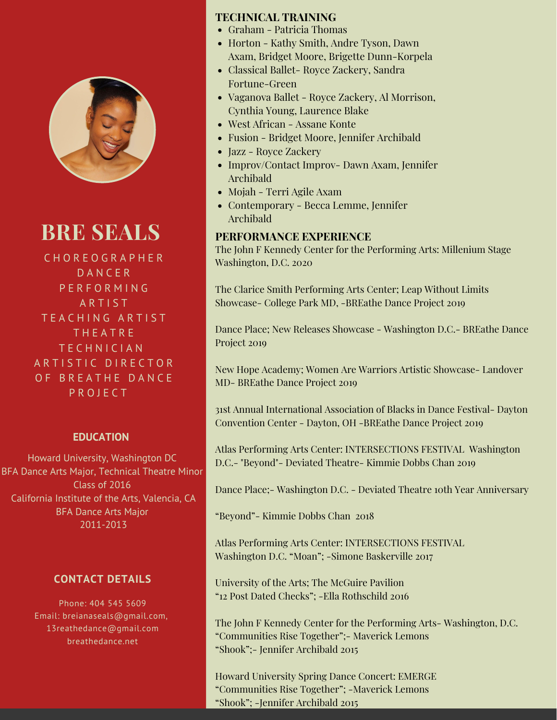

# **BRE SEALS**

C H O R E O G R A P H E R D A N C E R P E R F O R M I N G A R T I S T TEACHING ARTIST T H E A T R E T E C H N I C I A N ARTISTIC DIRECTOR OF BREATHE DANCE P R O J E C T

#### **EDUCATION**

Howard University, Washington DC BFA Dance Arts Major, Technical Theatre Minor Class of 2016 California Institute of the Arts, Valencia, CA BFA Dance Arts Major 2011-2013

### **CONTACT DETAILS**

Phone: 404 545 5609 Email: breianaseals@gmail.com, 13reathedance@gmail.com breathedance.net

#### **TECHNICAL TRAINING**

- Graham Patricia Thomas
- Horton Kathy Smith, Andre Tyson, Dawn Axam, Bridget Moore, Brigette Dunn-Korpela
- Classical Ballet- Royce Zackery, Sandra Fortune-Green
- Vaganova Ballet Royce Zackery, Al Morrison, Cynthia Young, Laurence Blake
- West African Assane Konte
- Fusion Bridget Moore, Jennifer Archibald
- Jazz Royce Zackery
- Improv/Contact Improv- Dawn Axam, Jennifer Archibald
- Mojah Terri Agile Axam
- Contemporary Becca Lemme, Jennifer Archibald

#### **PERFORMANCE EXPERIENCE**

The John F Kennedy Center for the Performing Arts: Millenium Stage Washington, D.C. 2020

The Clarice Smith Performing Arts Center; Leap Without Limits Showcase- College Park MD, -BREathe Dance Project 2019

Dance Place; New Releases Showcase - Washington D.C.- BREathe Dance Project 2019

New Hope Academy; Women Are Warriors Artistic Showcase- Landover MD- BREathe Dance Project 2019

31st Annual International Association of Blacks in Dance Festival- Dayton Convention Center - Dayton, OH -BREathe Dance Project 2019

Atlas Performing Arts Center: INTERSECTIONS FESTIVAL Washington D.C.- "Beyond"- Deviated Theatre- Kimmie Dobbs Chan 2019

Dance Place;- Washington D.C. - Deviated Theatre 10th Year Anniversary

"Beyond"- Kimmie Dobbs Chan 2018

Atlas Performing Arts Center: INTERSECTIONS FESTIVAL Washington D.C. "Moan"; -Simone Baskerville 2017

University of the Arts; The McGuire Pavilion "12 Post Dated Checks"; -Ella Rothschild 2016

The John F Kennedy Center for the Performing Arts- Washington, D.C. "Communities Rise Together";- Maverick Lemons "Shook";- Jennifer Archibald 2015

Howard University Spring Dance Concert: EMERGE "Communities Rise Together"; -Maverick Lemons "Shook"; -Jennifer Archibald 2015